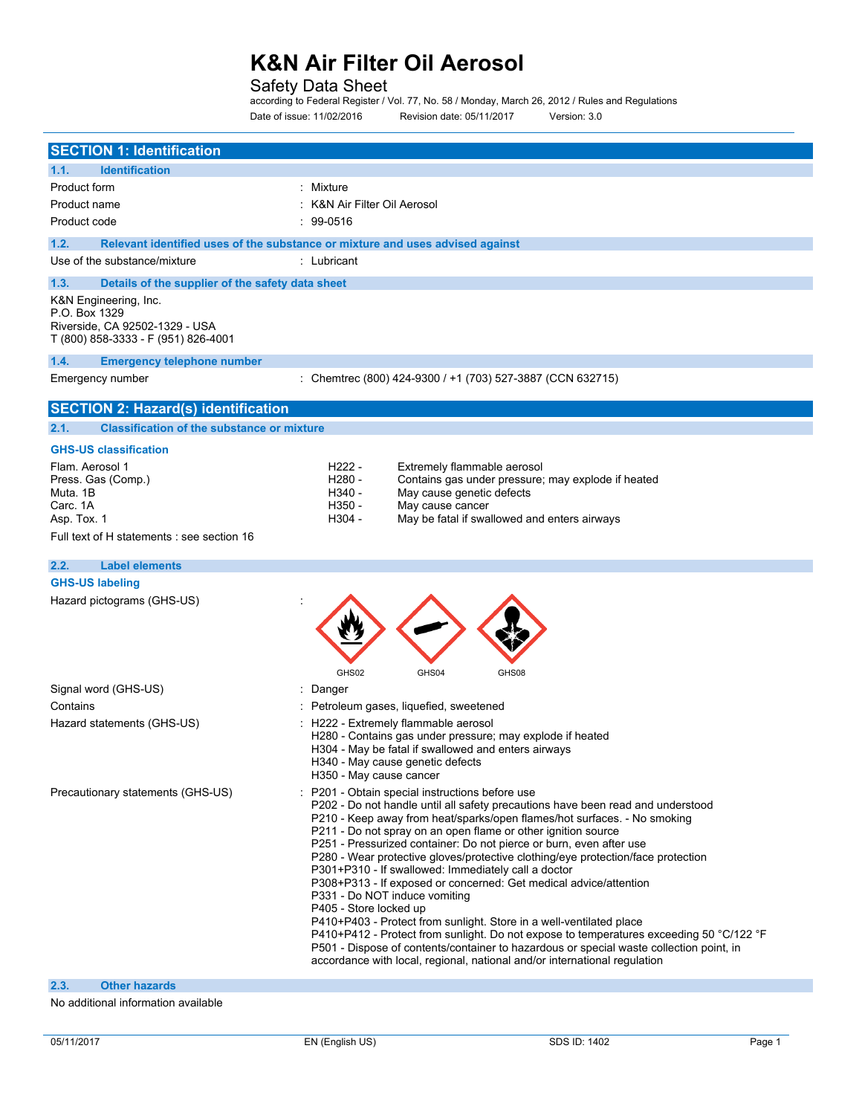## Safety Data Sheet

according to Federal Register / Vol. 77, No. 58 / Monday, March 26, 2012 / Rules and Regulations Date of issue: 11/02/2016 Revision date: 05/11/2017 Version: 3.0

| <b>SECTION 1: Identification</b>                          |                                                                                                                                                                      |
|-----------------------------------------------------------|----------------------------------------------------------------------------------------------------------------------------------------------------------------------|
| 1.1.<br><b>Identification</b>                             |                                                                                                                                                                      |
| Product form                                              | : Mixture                                                                                                                                                            |
| Product name                                              | : K&N Air Filter Oil Aerosol                                                                                                                                         |
| Product code                                              | $\frac{1}{2}$ 99-0516                                                                                                                                                |
| 1.2.                                                      | Relevant identified uses of the substance or mixture and uses advised against                                                                                        |
| Use of the substance/mixture                              | : Lubricant                                                                                                                                                          |
| 1.3.<br>Details of the supplier of the safety data sheet  |                                                                                                                                                                      |
| K&N Engineering, Inc.                                     |                                                                                                                                                                      |
| P.O. Box 1329<br>Riverside, CA 92502-1329 - USA           |                                                                                                                                                                      |
| T (800) 858-3333 - F (951) 826-4001                       |                                                                                                                                                                      |
| 1.4.<br><b>Emergency telephone number</b>                 |                                                                                                                                                                      |
| Emergency number                                          | : Chemtrec (800) 424-9300 / +1 (703) 527-3887 (CCN 632715)                                                                                                           |
|                                                           |                                                                                                                                                                      |
| <b>SECTION 2: Hazard(s) identification</b>                |                                                                                                                                                                      |
| <b>Classification of the substance or mixture</b><br>2.1. |                                                                                                                                                                      |
| <b>GHS-US classification</b>                              |                                                                                                                                                                      |
| Flam. Aerosol 1<br>Press. Gas (Comp.)                     | H222 -<br>Extremely flammable aerosol<br>H280 -<br>Contains gas under pressure; may explode if heated                                                                |
| Muta. 1B                                                  | H340 -<br>May cause genetic defects                                                                                                                                  |
| Carc. 1A                                                  | H350 -<br>May cause cancer                                                                                                                                           |
| Asp. Tox. 1                                               | H304 -<br>May be fatal if swallowed and enters airways                                                                                                               |
| Full text of H statements : see section 16                |                                                                                                                                                                      |
| 2.2.<br><b>Label elements</b>                             |                                                                                                                                                                      |
| <b>GHS-US labeling</b>                                    |                                                                                                                                                                      |
| Hazard pictograms (GHS-US)                                |                                                                                                                                                                      |
|                                                           |                                                                                                                                                                      |
|                                                           |                                                                                                                                                                      |
|                                                           |                                                                                                                                                                      |
|                                                           | GHS02<br>GHS04<br>GHS08                                                                                                                                              |
| Signal word (GHS-US)                                      | : Danger                                                                                                                                                             |
| Contains                                                  | Petroleum gases, liquefied, sweetened                                                                                                                                |
| Hazard statements (GHS-US)                                | H222 - Extremely flammable aerosol                                                                                                                                   |
|                                                           | H280 - Contains gas under pressure; may explode if heated<br>H304 - May be fatal if swallowed and enters airways                                                     |
|                                                           | H340 - May cause genetic defects                                                                                                                                     |
|                                                           | H350 - May cause cancer                                                                                                                                              |
| Precautionary statements (GHS-US)                         | P201 - Obtain special instructions before use                                                                                                                        |
|                                                           | P202 - Do not handle until all safety precautions have been read and understood<br>P210 - Keep away from heat/sparks/open flames/hot surfaces. - No smoking          |
|                                                           | P211 - Do not spray on an open flame or other ignition source                                                                                                        |
|                                                           | P251 - Pressurized container: Do not pierce or burn, even after use                                                                                                  |
|                                                           | P280 - Wear protective gloves/protective clothing/eye protection/face protection<br>P301+P310 - If swallowed: Immediately call a doctor                              |
|                                                           | P308+P313 - If exposed or concerned: Get medical advice/attention                                                                                                    |
|                                                           | P331 - Do NOT induce vomiting                                                                                                                                        |
|                                                           | P405 - Store locked up<br>P410+P403 - Protect from sunlight. Store in a well-ventilated place                                                                        |
|                                                           | P410+P412 - Protect from sunlight. Do not expose to temperatures exceeding 50 °C/122 °F                                                                              |
|                                                           | P501 - Dispose of contents/container to hazardous or special waste collection point, in<br>accordance with local, regional, national and/or international regulation |
|                                                           |                                                                                                                                                                      |
| 2.3.<br><b>Other hazards</b>                              |                                                                                                                                                                      |
| additional information qualidate                          |                                                                                                                                                                      |

No additional information available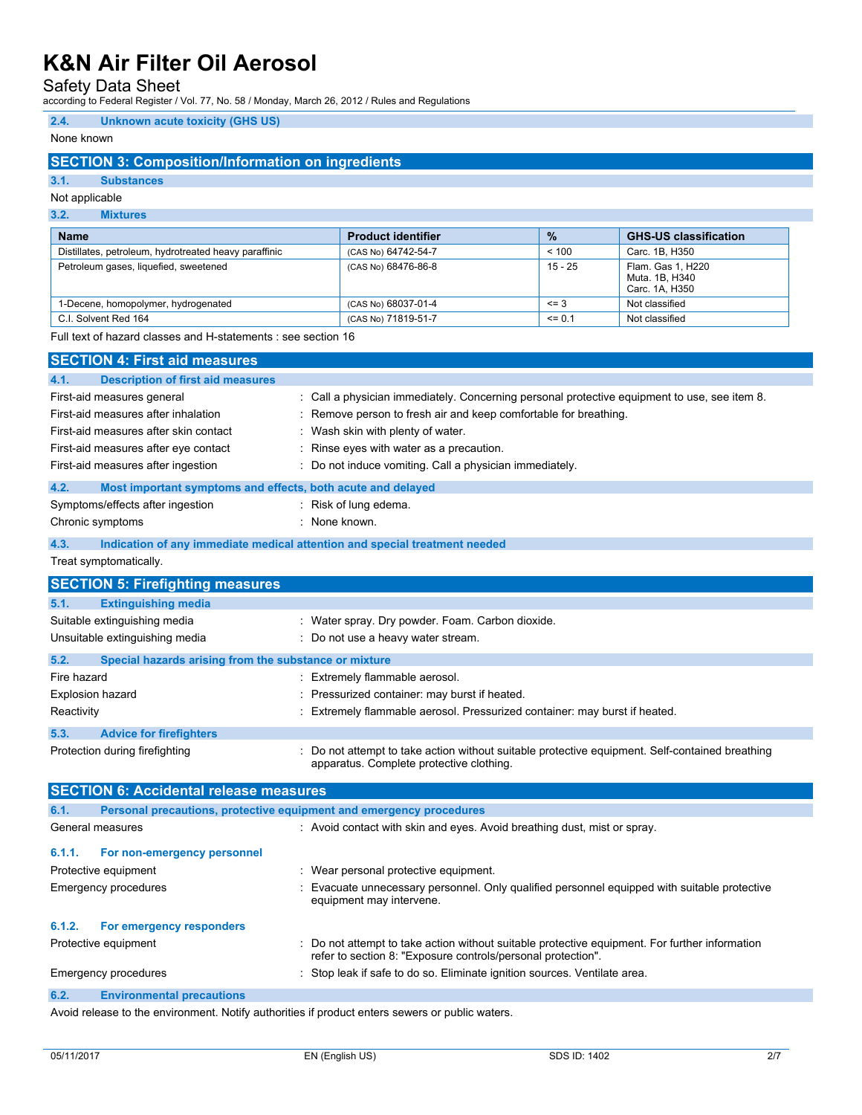Safety Data Sheet

according to Federal Register / Vol. 77, No. 58 / Monday, March 26, 2012 / Rules and Regulations

### **2.4. Unknown acute toxicity (GHS US)**

### None known

## **SECTION 3: Composition/Information on ingredients**

## **3.1. Substances**

## Not applicable

#### **3.2. Mixtures**

| <b>Name</b>                                           | <b>Product identifier</b> | $\frac{0}{2}$ | <b>GHS-US classification</b>                          |
|-------------------------------------------------------|---------------------------|---------------|-------------------------------------------------------|
| Distillates, petroleum, hydrotreated heavy paraffinic | (CAS No) 64742-54-7       | < 100         | Carc. 1B, H350                                        |
| Petroleum gases, liquefied, sweetened                 | (CAS No) 68476-86-8       | $15 - 25$     | Flam, Gas 1, H220<br>Muta. 1B, H340<br>Carc. 1A, H350 |
| 1-Decene, homopolymer, hydrogenated                   | (CAS No) 68037-01-4       | $\leq$ 3      | Not classified                                        |
| C.I. Solvent Red 164                                  | (CAS No) 71819-51-7       | $\leq$ 0.1    | Not classified                                        |

Full text of hazard classes and H-statements : see section 16

|             | <b>SECTION 4: First aid measures</b>                                |                                                                                                                                                              |
|-------------|---------------------------------------------------------------------|--------------------------------------------------------------------------------------------------------------------------------------------------------------|
| 4.1.        | <b>Description of first aid measures</b>                            |                                                                                                                                                              |
|             | First-aid measures general                                          | : Call a physician immediately. Concerning personal protective equipment to use, see item 8.                                                                 |
|             | First-aid measures after inhalation                                 | Remove person to fresh air and keep comfortable for breathing.                                                                                               |
|             | First-aid measures after skin contact                               | Wash skin with plenty of water.                                                                                                                              |
|             | First-aid measures after eye contact                                | : Rinse eyes with water as a precaution.                                                                                                                     |
|             | First-aid measures after ingestion                                  | : Do not induce vomiting. Call a physician immediately.                                                                                                      |
| 4.2.        | Most important symptoms and effects, both acute and delayed         |                                                                                                                                                              |
|             | Symptoms/effects after ingestion                                    | $:$ Risk of lung edema.                                                                                                                                      |
|             | Chronic symptoms                                                    | : None known.                                                                                                                                                |
| 4.3.        |                                                                     | Indication of any immediate medical attention and special treatment needed                                                                                   |
|             | Treat symptomatically.                                              |                                                                                                                                                              |
|             | <b>SECTION 5: Firefighting measures</b>                             |                                                                                                                                                              |
| 5.1.        | <b>Extinguishing media</b>                                          |                                                                                                                                                              |
|             | Suitable extinguishing media                                        | : Water spray. Dry powder. Foam. Carbon dioxide.                                                                                                             |
|             | Unsuitable extinguishing media                                      | : Do not use a heavy water stream.                                                                                                                           |
| 5.2.        | Special hazards arising from the substance or mixture               |                                                                                                                                                              |
| Fire hazard |                                                                     | : Extremely flammable aerosol.                                                                                                                               |
|             | <b>Explosion hazard</b>                                             | : Pressurized container: may burst if heated.                                                                                                                |
| Reactivity  |                                                                     | : Extremely flammable aerosol. Pressurized container: may burst if heated.                                                                                   |
| 5.3.        | <b>Advice for firefighters</b>                                      |                                                                                                                                                              |
|             | Protection during firefighting                                      | : Do not attempt to take action without suitable protective equipment. Self-contained breathing<br>apparatus. Complete protective clothing.                  |
|             | <b>SECTION 6: Accidental release measures</b>                       |                                                                                                                                                              |
| 6.1.        | Personal precautions, protective equipment and emergency procedures |                                                                                                                                                              |
|             | General measures                                                    | : Avoid contact with skin and eyes. Avoid breathing dust, mist or spray.                                                                                     |
| 6.1.1.      | For non-emergency personnel                                         |                                                                                                                                                              |
|             | Protective equipment                                                | : Wear personal protective equipment.                                                                                                                        |
|             | Emergency procedures                                                | Evacuate unnecessary personnel. Only qualified personnel equipped with suitable protective<br>equipment may intervene.                                       |
| 6.1.2.      | For emergency responders                                            |                                                                                                                                                              |
|             | Protective equipment                                                | Do not attempt to take action without suitable protective equipment. For further information<br>refer to section 8: "Exposure controls/personal protection". |
|             | <b>Emergency procedures</b>                                         | : Stop leak if safe to do so. Eliminate ignition sources. Ventilate area.                                                                                    |
| 6.2.        | <b>Environmental precautions</b>                                    |                                                                                                                                                              |
|             |                                                                     |                                                                                                                                                              |

Avoid release to the environment. Notify authorities if product enters sewers or public waters.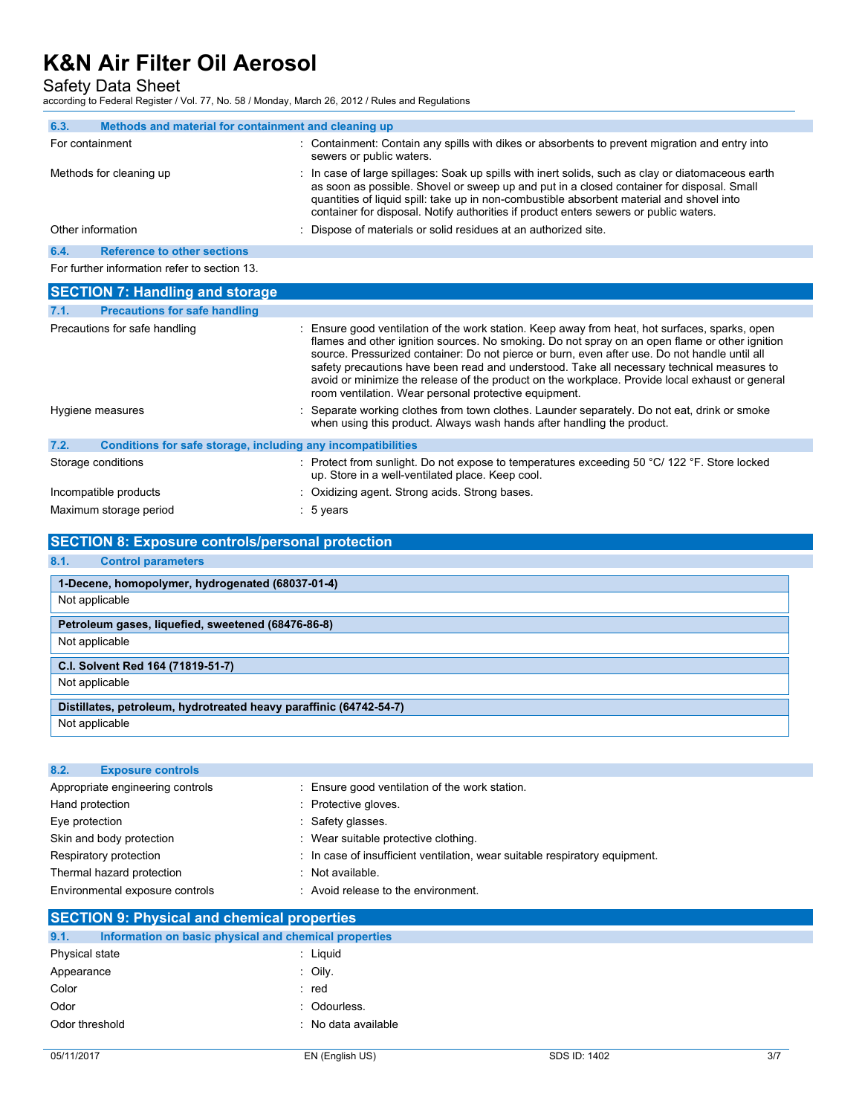Safety Data Sheet

according to Federal Register / Vol. 77, No. 58 / Monday, March 26, 2012 / Rules and Regulations

| 6.3.            | Methods and material for containment and cleaning up |                                                                                                                                                                                                                                                                                                                                                                                       |
|-----------------|------------------------------------------------------|---------------------------------------------------------------------------------------------------------------------------------------------------------------------------------------------------------------------------------------------------------------------------------------------------------------------------------------------------------------------------------------|
| For containment |                                                      | : Containment: Contain any spills with dikes or absorbents to prevent migration and entry into<br>sewers or public waters.                                                                                                                                                                                                                                                            |
|                 | Methods for cleaning up                              | : In case of large spillages: Soak up spills with inert solids, such as clay or diatomaceous earth<br>as soon as possible. Shovel or sweep up and put in a closed container for disposal. Small<br>quantities of liquid spill: take up in non-combustible absorbent material and shovel into<br>container for disposal. Notify authorities if product enters sewers or public waters. |
|                 | Other information                                    | : Dispose of materials or solid residues at an authorized site.                                                                                                                                                                                                                                                                                                                       |
| 6.4.            | <b>Reference to other sections</b>                   |                                                                                                                                                                                                                                                                                                                                                                                       |
|                 | For further information refer to section 13.         |                                                                                                                                                                                                                                                                                                                                                                                       |

| <b>SECTION 7: Handling and storage</b>                               |                                                                                                                                                                                                                                                                                                                                                                                                                                                                                                                                                             |  |
|----------------------------------------------------------------------|-------------------------------------------------------------------------------------------------------------------------------------------------------------------------------------------------------------------------------------------------------------------------------------------------------------------------------------------------------------------------------------------------------------------------------------------------------------------------------------------------------------------------------------------------------------|--|
| <b>Precautions for safe handling</b><br>7.1.                         |                                                                                                                                                                                                                                                                                                                                                                                                                                                                                                                                                             |  |
| Precautions for safe handling                                        | : Ensure good ventilation of the work station. Keep away from heat, hot surfaces, sparks, open<br>flames and other ignition sources. No smoking. Do not spray on an open flame or other ignition<br>source. Pressurized container: Do not pierce or burn, even after use. Do not handle until all<br>safety precautions have been read and understood. Take all necessary technical measures to<br>avoid or minimize the release of the product on the workplace. Provide local exhaust or general<br>room ventilation. Wear personal protective equipment. |  |
| Hygiene measures                                                     | : Separate working clothes from town clothes. Launder separately. Do not eat, drink or smoke<br>when using this product. Always wash hands after handling the product.                                                                                                                                                                                                                                                                                                                                                                                      |  |
| 7.2.<br>Conditions for safe storage, including any incompatibilities |                                                                                                                                                                                                                                                                                                                                                                                                                                                                                                                                                             |  |
| Storage conditions                                                   | : Protect from sunlight. Do not expose to temperatures exceeding 50 °C/ 122 °F. Store locked<br>up. Store in a well-ventilated place. Keep cool.                                                                                                                                                                                                                                                                                                                                                                                                            |  |
| Incompatible products                                                | : Oxidizing agent. Strong acids. Strong bases.                                                                                                                                                                                                                                                                                                                                                                                                                                                                                                              |  |
| Maximum storage period                                               | $: 5$ years                                                                                                                                                                                                                                                                                                                                                                                                                                                                                                                                                 |  |

## **SECTION 8: Exposure controls/personal protection**

#### **8.1. Control parameters**

| 1-Decene, homopolymer, hydrogenated (68037-01-4)                   |  |
|--------------------------------------------------------------------|--|
| Not applicable                                                     |  |
| Petroleum gases, liquefied, sweetened (68476-86-8)                 |  |
| Not applicable                                                     |  |
| C.I. Solvent Red 164 (71819-51-7)                                  |  |
| Not applicable                                                     |  |
| Distillates, petroleum, hydrotreated heavy paraffinic (64742-54-7) |  |
| Not applicable                                                     |  |

## **8.2. Exposure controls** Appropriate engineering controls : Ensure good ventilation of the work station. Hand protection **in the case of the COV** and Protective gloves. Eye protection  $\qquad \qquad$ : Safety glasses. Skin and body protection **in the suitable protective clothing** is Wear suitable protective clothing. Respiratory protection : In case of insufficient ventilation, wear suitable respiratory equipment. Thermal hazard protection : Not available. Environmental exposure controls : Avoid release to the environment.

## **SECTION 9: Physical and chemical properties 9.1. Information on basic physical and chemical properties** Physical state : Liquid Appearance : Oily. Color : red Odor : Odourless. Odor threshold **in the contract of the contract of the contract of the contract of the contract of the contract of the contract of the contract of the contract of the contract of the contract of the contract of the contrac**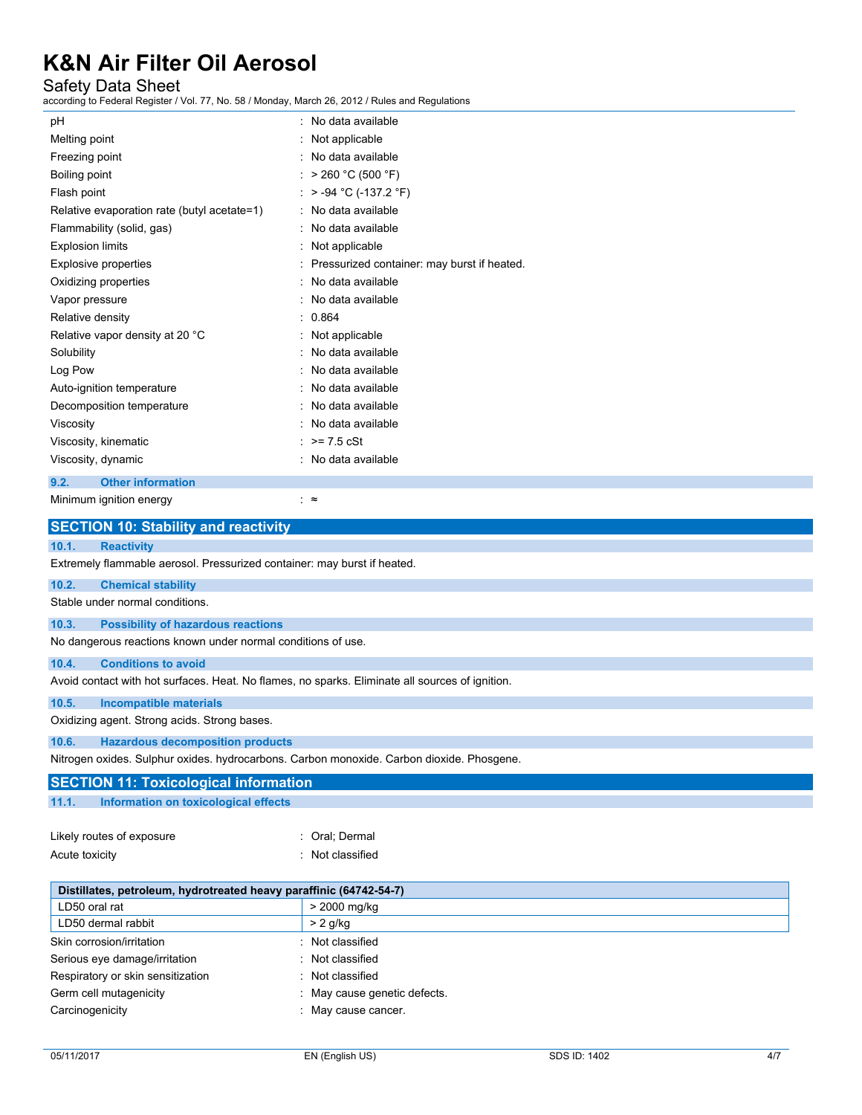## Safety Data Sheet

according to Federal Register / Vol. 77, No. 58 / Monday, March 26, 2012 / Rules and Regulations

| pH                                          | : No data available                           |
|---------------------------------------------|-----------------------------------------------|
| Melting point                               | : Not applicable                              |
| Freezing point                              | : No data available                           |
| Boiling point                               | : > 260 °C (500 °F)                           |
| Flash point                                 | : $> -94$ °C (-137.2 °F)                      |
| Relative evaporation rate (butyl acetate=1) | : No data available                           |
| Flammability (solid, gas)                   | : No data available                           |
| <b>Explosion limits</b>                     | : Not applicable                              |
| Explosive properties                        | : Pressurized container: may burst if heated. |
| Oxidizing properties                        | : No data available                           |
| Vapor pressure                              | : No data available                           |
| Relative density                            | : 0.864                                       |
| Relative vapor density at 20 °C             | : Not applicable                              |
| Solubility                                  | : No data available                           |
| Log Pow                                     | : No data available                           |
| Auto-ignition temperature                   | : No data available                           |
| Decomposition temperature                   | : No data available                           |
| Viscosity                                   | : No data available                           |
| Viscosity, kinematic                        | : $> = 7.5$ cSt                               |
| Viscosity, dynamic                          | : No data available                           |
| 9.2.<br><b>Other information</b>            |                                               |
| Minimum ignition energy                     | ∶≈                                            |

|                | <b>SECTION 10: Stability and reactivity</b>                                               |                                                                                                 |  |
|----------------|-------------------------------------------------------------------------------------------|-------------------------------------------------------------------------------------------------|--|
| 10.1.          | <b>Reactivity</b>                                                                         |                                                                                                 |  |
|                | Extremely flammable aerosol. Pressurized container: may burst if heated.                  |                                                                                                 |  |
| 10.2.          | <b>Chemical stability</b>                                                                 |                                                                                                 |  |
|                | Stable under normal conditions.                                                           |                                                                                                 |  |
| 10.3.          | <b>Possibility of hazardous reactions</b>                                                 |                                                                                                 |  |
|                | No dangerous reactions known under normal conditions of use.                              |                                                                                                 |  |
| 10.4.          | <b>Conditions to avoid</b>                                                                |                                                                                                 |  |
|                |                                                                                           | Avoid contact with hot surfaces. Heat. No flames, no sparks. Eliminate all sources of ignition. |  |
| 10.5.          | <b>Incompatible materials</b>                                                             |                                                                                                 |  |
|                | Oxidizing agent. Strong acids. Strong bases.                                              |                                                                                                 |  |
| 10.6.          | <b>Hazardous decomposition products</b>                                                   |                                                                                                 |  |
|                | Nitrogen oxides. Sulphur oxides. hydrocarbons. Carbon monoxide. Carbon dioxide. Phosgene. |                                                                                                 |  |
|                | <b>SECTION 11: Toxicological information</b>                                              |                                                                                                 |  |
| 11.1.          | Information on toxicological effects                                                      |                                                                                                 |  |
|                | Likely routes of exposure                                                                 | : Oral: Dermal                                                                                  |  |
| Acute toxicity |                                                                                           | : Not classified                                                                                |  |
|                | Distillates, petroleum, hydrotreated heavy paraffinic (64742-54-7)                        |                                                                                                 |  |
|                |                                                                                           | $\sim$ 0.000                                                                                    |  |

| Distillates, petroleum, hydrotreated heavy paraminic (64742-54-7) |                            |
|-------------------------------------------------------------------|----------------------------|
| LD50 oral rat                                                     | > 2000 mg/kg               |
| LD50 dermal rabbit                                                | $> 2$ g/kg                 |
| Skin corrosion/irritation                                         | Not classified             |
| Serious eye damage/irritation                                     | Not classified             |
| Respiratory or skin sensitization                                 | Not classified             |
| Germ cell mutagenicity                                            | May cause genetic defects. |
| Carcinogenicity                                                   | May cause cancer.          |
|                                                                   |                            |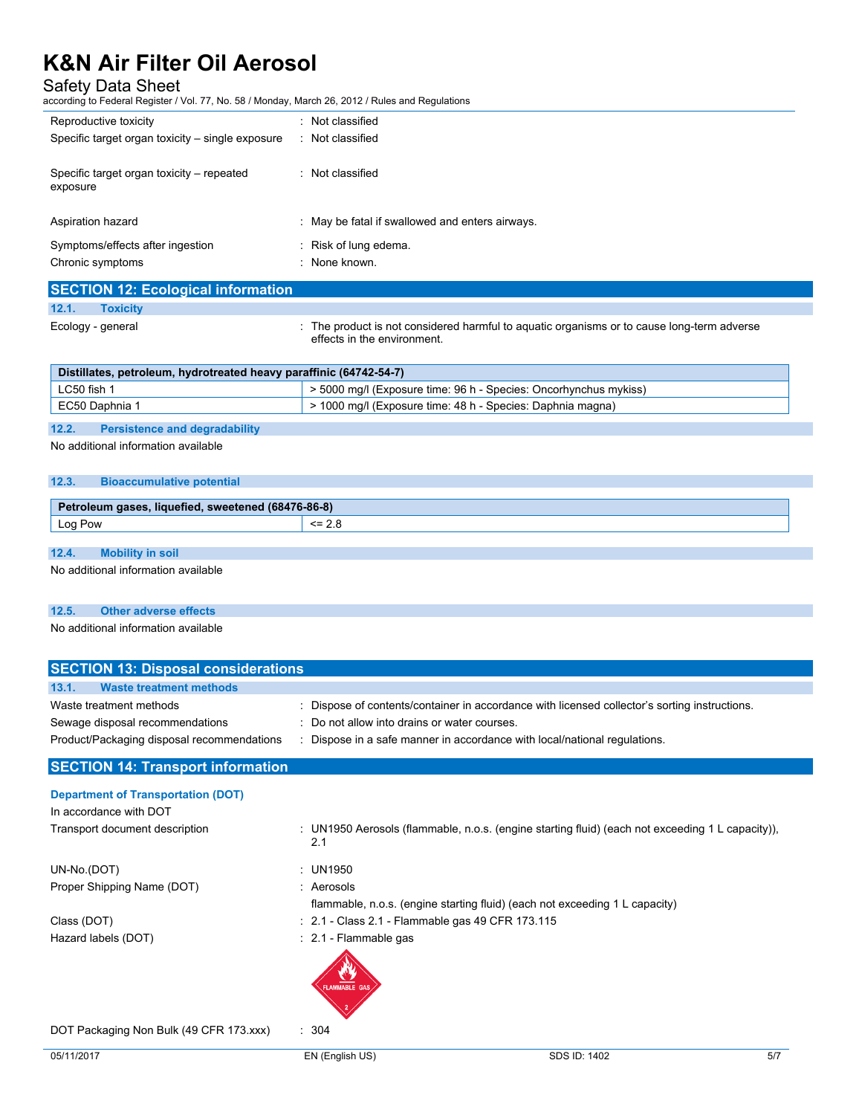## Safety Data Sheet

according to Federal Register / Vol. 77, No. 58 / Monday, March 26, 2012 / Rules and Regulations

| Reproductive toxicity                            | : Not classified                                |
|--------------------------------------------------|-------------------------------------------------|
| Specific target organ toxicity – single exposure | : Not classified                                |
| Specific target organ toxicity – repeated        | : Not classified                                |
| exposure                                         |                                                 |
| Aspiration hazard                                | : May be fatal if swallowed and enters airways. |
|                                                  |                                                 |
| Symptoms/effects after ingestion                 | : Risk of lung edema.                           |
| Chronic symptoms                                 | : None known.                                   |
|                                                  |                                                 |
| <b>SECTION 12: Ecological information</b>        |                                                 |

#### **12.1. Toxicity**

Ecology - general **interproduct is not considered harmful to aquatic organisms or to cause long-term adverse**  $\cdot$ effects in the environment.

| Distillates, petroleum, hydrotreated heavy paraffinic (64742-54-7) |                                                                       |
|--------------------------------------------------------------------|-----------------------------------------------------------------------|
| LC50 fish 1                                                        | $\geq$ 5000 mg/l (Exposure time: 96 h - Species: Oncorhynchus mykiss) |
| EC50 Daphnia 1                                                     | > 1000 mg/l (Exposure time: 48 h - Species: Daphnia magna)            |

#### **12.2. Persistence and degradability**

No additional information available

#### **12.3. Bioaccumulative potential**

| 176-86-8)<br>Do.<br>liquefied<br>sweetened<br>etroleum m |                 |
|----------------------------------------------------------|-----------------|
| $\text{L}$ og $\text{L}$<br>Pow                          | --<br><b>4.</b> |

## **12.4. Mobility in soil**

No additional information available

#### **12.5. Other adverse effects**

No additional information available

| <b>SECTION 13: Disposal considerations</b> |                                                                                                         |  |  |  |
|--------------------------------------------|---------------------------------------------------------------------------------------------------------|--|--|--|
| <b>Waste treatment methods</b><br>13.1.    |                                                                                                         |  |  |  |
| Waste treatment methods                    | Dispose of contents/container in accordance with licensed collector's sorting instructions.             |  |  |  |
| Sewage disposal recommendations            | : Do not allow into drains or water courses.                                                            |  |  |  |
| Product/Packaging disposal recommendations | : Dispose in a safe manner in accordance with local/national regulations.                               |  |  |  |
| <b>SECTION 14: Transport information</b>   |                                                                                                         |  |  |  |
| <b>Department of Transportation (DOT)</b>  |                                                                                                         |  |  |  |
| In accordance with DOT                     |                                                                                                         |  |  |  |
| Transport document description             | : UN1950 Aerosols (flammable, n.o.s. (engine starting fluid) (each not exceeding 1 L capacity)),<br>2.1 |  |  |  |
| UN-No.(DOT)                                | : UN1950                                                                                                |  |  |  |
| Proper Shipping Name (DOT)                 | : Aerosols                                                                                              |  |  |  |
|                                            | flammable, n.o.s. (engine starting fluid) (each not exceeding 1 L capacity)                             |  |  |  |
| Class (DOT)                                | : 2.1 - Class 2.1 - Flammable gas 49 CFR 173.115                                                        |  |  |  |
| Hazard labels (DOT)                        | : 2.1 - Flammable gas                                                                                   |  |  |  |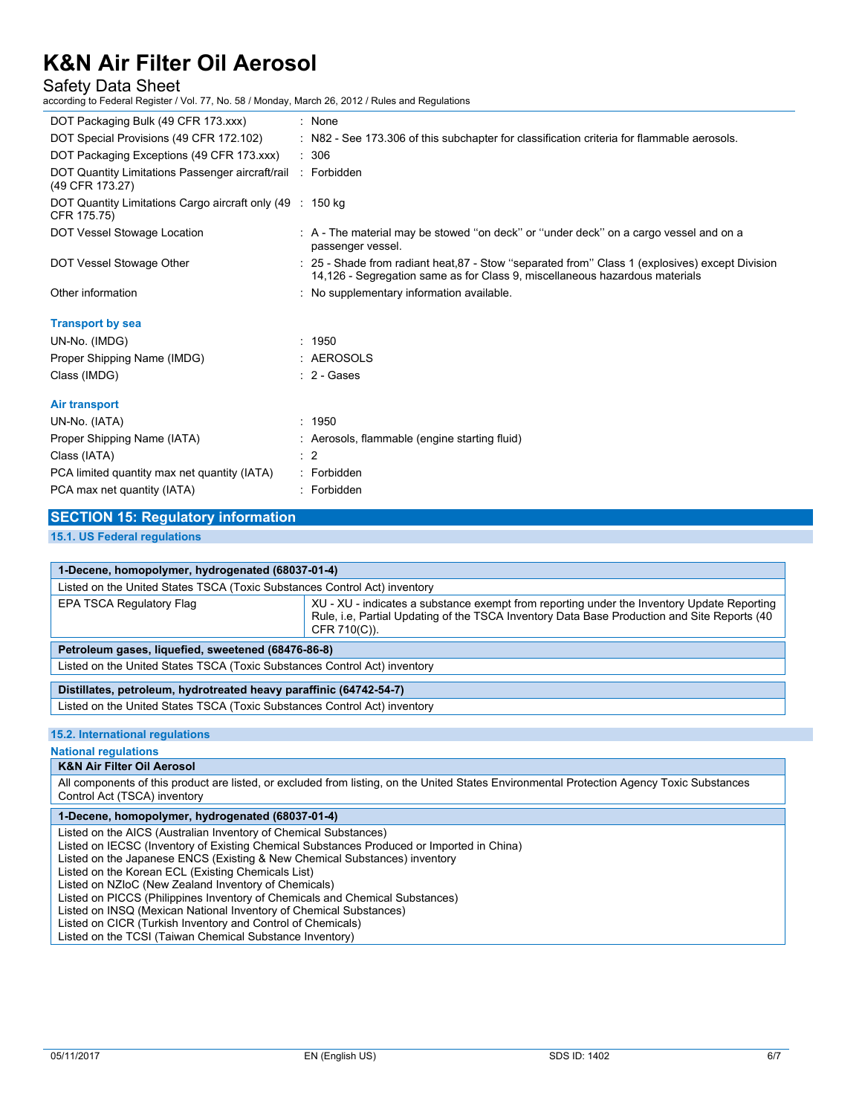### Safety Data Sheet

according to Federal Register / Vol. 77, No. 58 / Monday, March 26, 2012 / Rules and Regulations

| DOT Packaging Bulk (49 CFR 173.xxx)                                             | : None                                                                                                                                                                         |
|---------------------------------------------------------------------------------|--------------------------------------------------------------------------------------------------------------------------------------------------------------------------------|
| DOT Special Provisions (49 CFR 172.102)                                         | : N82 - See 173.306 of this subchapter for classification criteria for flammable aerosols.                                                                                     |
| DOT Packaging Exceptions (49 CFR 173.xxx)                                       | $\therefore$ 306                                                                                                                                                               |
| DOT Quantity Limitations Passenger aircraft/rail : Forbidden<br>(49 CFR 173.27) |                                                                                                                                                                                |
| DOT Quantity Limitations Cargo aircraft only (49 : 150 kg)<br>CFR 175.75)       |                                                                                                                                                                                |
| DOT Vessel Stowage Location                                                     | : A - The material may be stowed "on deck" or "under deck" on a cargo vessel and on a<br>passenger vessel.                                                                     |
| DOT Vessel Stowage Other                                                        | : 25 - Shade from radiant heat, 87 - Stow "separated from" Class 1 (explosives) except Division<br>14,126 - Segregation same as for Class 9, miscellaneous hazardous materials |
| Other information                                                               | : No supplementary information available.                                                                                                                                      |
| <b>Transport by sea</b>                                                         |                                                                                                                                                                                |
| UN-No. (IMDG)                                                                   | : 1950                                                                                                                                                                         |
| Proper Shipping Name (IMDG)                                                     | : AEROSOLS                                                                                                                                                                     |
| Class (IMDG)                                                                    | $: 2 - \text{Gases}$                                                                                                                                                           |
| <b>Air transport</b>                                                            |                                                                                                                                                                                |
| UN-No. (IATA)                                                                   | : 1950                                                                                                                                                                         |
| Proper Shipping Name (IATA)                                                     | : Aerosols, flammable (engine starting fluid)                                                                                                                                  |
| Class (IATA)                                                                    | $\therefore$ 2                                                                                                                                                                 |
| PCA limited quantity max net quantity (IATA)                                    | : Forbidden                                                                                                                                                                    |
| PCA max net quantity (IATA)                                                     | : Forbidden                                                                                                                                                                    |

**15.1. US Federal regulations**

| 1-Decene, homopolymer, hydrogenated (68037-01-4)                          |                                                                                                                                                                                                           |  |
|---------------------------------------------------------------------------|-----------------------------------------------------------------------------------------------------------------------------------------------------------------------------------------------------------|--|
| Listed on the United States TSCA (Toxic Substances Control Act) inventory |                                                                                                                                                                                                           |  |
| EPA TSCA Regulatory Flag                                                  | XU - XU - indicates a substance exempt from reporting under the Inventory Update Reporting<br>Rule, i.e. Partial Updating of the TSCA Inventory Data Base Production and Site Reports (40<br>CFR 710(C)). |  |
| Petroleum gases, liquefied, sweetened (68476-86-8)                        |                                                                                                                                                                                                           |  |
| Listed on the United States TSCA (Toxic Substances Control Act) inventory |                                                                                                                                                                                                           |  |
| Distillates, petroleum, hydrotreated heavy paraffinic (64742-54-7)        |                                                                                                                                                                                                           |  |
| Listed on the United States TSCA (Toxic Substances Control Act) inventory |                                                                                                                                                                                                           |  |

#### **15.2. International regulations**

#### **National regulations**

### **K&N Air Filter Oil Aerosol**

All components of this product are listed, or excluded from listing, on the United States Environmental Protection Agency Toxic Substances Control Act (TSCA) inventory

#### **1-Decene, homopolymer, hydrogenated (68037-01-4)**

Listed on the AICS (Australian Inventory of Chemical Substances)

Listed on IECSC (Inventory of Existing Chemical Substances Produced or Imported in China)

Listed on the Japanese ENCS (Existing & New Chemical Substances) inventory

Listed on the Korean ECL (Existing Chemicals List)

Listed on NZIoC (New Zealand Inventory of Chemicals)

Listed on PICCS (Philippines Inventory of Chemicals and Chemical Substances)

Listed on INSQ (Mexican National Inventory of Chemical Substances)

Listed on CICR (Turkish Inventory and Control of Chemicals)

Listed on the TCSI (Taiwan Chemical Substance Inventory)